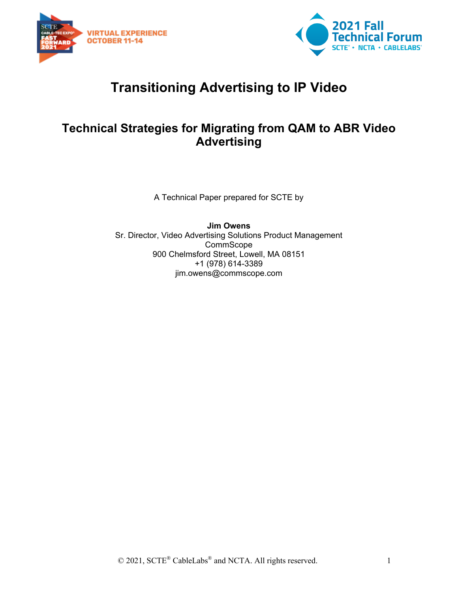



# **Transitioning Advertising to IP Video**

# **Technical Strategies for Migrating from QAM to ABR Video Advertising**

A Technical Paper prepared for SCTE by

**Jim Owens** Sr. Director, Video Advertising Solutions Product Management CommScope 900 Chelmsford Street, Lowell, MA 08151 +1 (978) 614-3389 jim.owens@commscope.com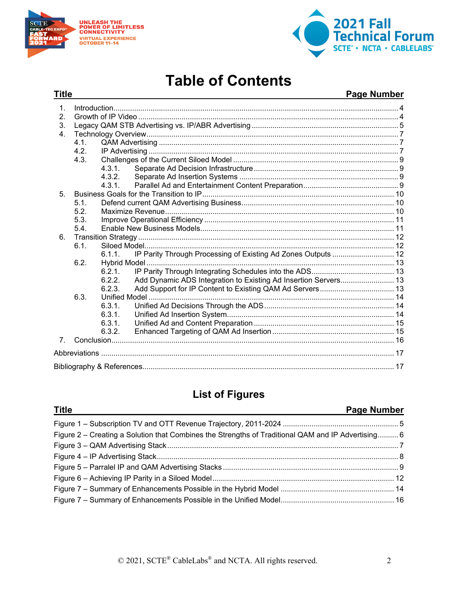

**Title** 

Title



# **Table of Contents**

### Page Number

| 1.             |                  |                                                                          |  |  |  |  |  |
|----------------|------------------|--------------------------------------------------------------------------|--|--|--|--|--|
| 2.             |                  |                                                                          |  |  |  |  |  |
| 3.             |                  |                                                                          |  |  |  |  |  |
| 4.             |                  |                                                                          |  |  |  |  |  |
|                | 4.1.             |                                                                          |  |  |  |  |  |
|                | 4.2 <sub>1</sub> |                                                                          |  |  |  |  |  |
|                | 4.3.             |                                                                          |  |  |  |  |  |
|                |                  | 4.3.1                                                                    |  |  |  |  |  |
|                |                  | 4.3.2                                                                    |  |  |  |  |  |
|                |                  | 4.3.1                                                                    |  |  |  |  |  |
| 5.             |                  |                                                                          |  |  |  |  |  |
|                | 5.1.             |                                                                          |  |  |  |  |  |
|                | 5.2.             |                                                                          |  |  |  |  |  |
|                | 5.3.             |                                                                          |  |  |  |  |  |
|                | 5.4              |                                                                          |  |  |  |  |  |
| 6.             |                  |                                                                          |  |  |  |  |  |
|                | 6.1.             |                                                                          |  |  |  |  |  |
|                |                  | IP Parity Through Processing of Existing Ad Zones Outputs  12<br>6.1.1.  |  |  |  |  |  |
|                | 6.2.             |                                                                          |  |  |  |  |  |
|                |                  | 6.2.1                                                                    |  |  |  |  |  |
|                |                  | Add Dynamic ADS Integration to Existing Ad Insertion Servers 13<br>6.2.2 |  |  |  |  |  |
|                |                  | 6.2.3                                                                    |  |  |  |  |  |
|                | 6.3.             |                                                                          |  |  |  |  |  |
|                |                  | 6.3.1.                                                                   |  |  |  |  |  |
|                |                  | 6.3.1.                                                                   |  |  |  |  |  |
|                |                  | 6.3.1.                                                                   |  |  |  |  |  |
|                |                  | 6.3.2.                                                                   |  |  |  |  |  |
| $\overline{7}$ |                  |                                                                          |  |  |  |  |  |
|                |                  |                                                                          |  |  |  |  |  |
|                |                  |                                                                          |  |  |  |  |  |
|                |                  |                                                                          |  |  |  |  |  |

# **List of Figures**

| $\alpha$                                                                                           |  |
|----------------------------------------------------------------------------------------------------|--|
|                                                                                                    |  |
| Figure 2 – Creating a Solution that Combines the Strengths of Traditional QAM and IP Advertising 6 |  |
|                                                                                                    |  |
|                                                                                                    |  |
|                                                                                                    |  |
|                                                                                                    |  |
|                                                                                                    |  |
|                                                                                                    |  |
|                                                                                                    |  |

**Pano Numbor**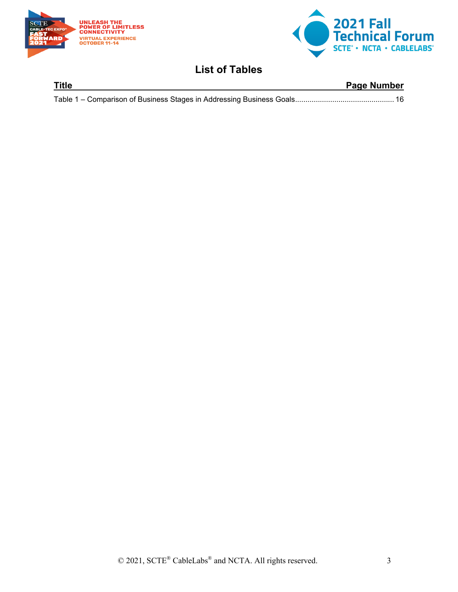



# **List of Tables**

| <b>Title</b> | <b>Page Number</b> |
|--------------|--------------------|
|              |                    |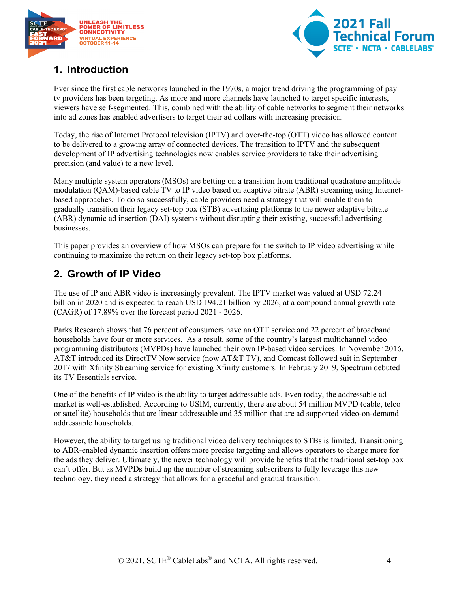



# <span id="page-3-0"></span>**1. Introduction**

Ever since the first cable networks launched in the 1970s, a major trend driving the programming of pay tv providers has been targeting. As more and more channels have launched to target specific interests, viewers have self-segmented. This, combined with the ability of cable networks to segment their networks into ad zones has enabled advertisers to target their ad dollars with increasing precision.

Today, the rise of Internet Protocol television (IPTV) and over-the-top (OTT) video has allowed content to be delivered to a growing array of connected devices. The transition to IPTV and the subsequent development of IP advertising technologies now enables service providers to take their advertising precision (and value) to a new level.

Many multiple system operators (MSOs) are betting on a transition from traditional quadrature amplitude modulation (QAM)-based cable TV to IP video based on adaptive bitrate (ABR) streaming using Internetbased approaches. To do so successfully, cable providers need a strategy that will enable them to gradually transition their legacy set-top box (STB) advertising platforms to the newer adaptive bitrate (ABR) dynamic ad insertion (DAI) systems without disrupting their existing, successful advertising businesses.

This paper provides an overview of how MSOs can prepare for the switch to IP video advertising while continuing to maximize the return on their legacy set-top box platforms.

## <span id="page-3-1"></span>**2. Growth of IP Video**

The use of IP and ABR video is increasingly prevalent. The IPTV market was valued at USD 72.24 billion in 2020 and is expected to reach USD 194.21 billion by 2026, at a compound annual growth rate (CAGR) of 17.89% over the forecast period 2021 - 2026.

Parks Research shows that 76 percent of consumers have an OTT service and 22 percent of broadband households have four or more services. As a result, some of the country's largest multichannel video programming distributors (MVPDs) have launched their own IP-based video services. In November 2016, AT&T introduced its DirectTV Now service (now AT&T TV), and Comcast followed suit in September 2017 with Xfinity Streaming service for existing Xfinity customers. In February 2019, Spectrum debuted its TV Essentials service.

One of the benefits of IP video is the ability to target addressable ads. Even today, the addressable ad market is well-established. According to USIM, currently, there are about 54 million MVPD (cable, telco or satellite) households that are linear addressable and 35 million that are ad supported video-on-demand addressable households.

However, the ability to target using traditional video delivery techniques to STBs is limited. Transitioning to ABR-enabled dynamic insertion offers more precise targeting and allows operators to charge more for the ads they deliver. Ultimately, the newer technology will provide benefits that the traditional set-top box can't offer. But as MVPDs build up the number of streaming subscribers to fully leverage this new technology, they need a strategy that allows for a graceful and gradual transition.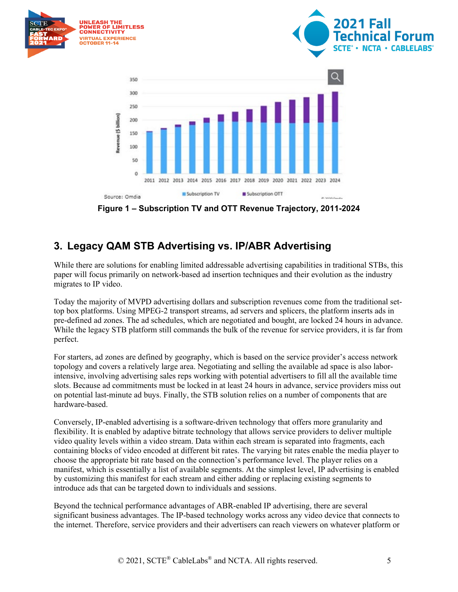





**Figure 1 – Subscription TV and OTT Revenue Trajectory, 2011-2024**

# <span id="page-4-1"></span><span id="page-4-0"></span>**3. Legacy QAM STB Advertising vs. IP/ABR Advertising**

While there are solutions for enabling limited addressable advertising capabilities in traditional STBs, this paper will focus primarily on network-based ad insertion techniques and their evolution as the industry migrates to IP video.

Today the majority of MVPD advertising dollars and subscription revenues come from the traditional settop box platforms. Using MPEG-2 transport streams, ad servers and splicers, the platform inserts ads in pre-defined ad zones. The ad schedules, which are negotiated and bought, are locked 24 hours in advance. While the legacy STB platform still commands the bulk of the revenue for service providers, it is far from perfect.

For starters, ad zones are defined by geography, which is based on the service provider's access network topology and covers a relatively large area. Negotiating and selling the available ad space is also laborintensive, involving advertising sales reps working with potential advertisers to fill all the available time slots. Because ad commitments must be locked in at least 24 hours in advance, service providers miss out on potential last-minute ad buys. Finally, the STB solution relies on a number of components that are hardware-based.

Conversely, IP-enabled advertising is a software-driven technology that offers more granularity and flexibility. It is enabled by adaptive bitrate technology that allows service providers to deliver multiple video quality levels within a video stream. Data within each stream is separated into fragments, each containing blocks of video encoded at different bit rates. The varying bit rates enable the media player to choose the appropriate bit rate based on the connection's performance level. The player relies on a manifest, which is essentially a list of available segments. At the simplest level, IP advertising is enabled by customizing this manifest for each stream and either adding or replacing existing segments to introduce ads that can be targeted down to individuals and sessions.

Beyond the technical performance advantages of ABR-enabled IP advertising, there are several significant business advantages. The IP-based technology works across any video device that connects to the internet. Therefore, service providers and their advertisers can reach viewers on whatever platform or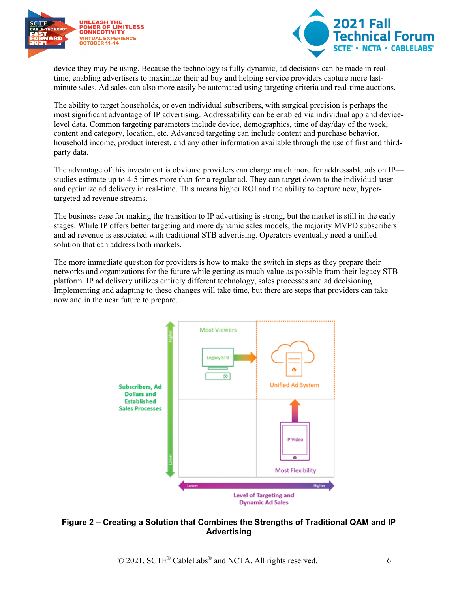



device they may be using. Because the technology is fully dynamic, ad decisions can be made in realtime, enabling advertisers to maximize their ad buy and helping service providers capture more lastminute sales. Ad sales can also more easily be automated using targeting criteria and real-time auctions.

The ability to target households, or even individual subscribers, with surgical precision is perhaps the most significant advantage of IP advertising. Addressability can be enabled via individual app and devicelevel data. Common targeting parameters include device, demographics, time of day/day of the week, content and category, location, etc. Advanced targeting can include content and purchase behavior, household income, product interest, and any other information available through the use of first and thirdparty data.

The advantage of this investment is obvious: providers can charge much more for addressable ads on IP studies estimate up to 4-5 times more than for a regular ad. They can target down to the individual user and optimize ad delivery in real-time. This means higher ROI and the ability to capture new, hypertargeted ad revenue streams.

The business case for making the transition to IP advertising is strong, but the market is still in the early stages. While IP offers better targeting and more dynamic sales models, the majority MVPD subscribers and ad revenue is associated with traditional STB advertising. Operators eventually need a unified solution that can address both markets.

The more immediate question for providers is how to make the switch in steps as they prepare their networks and organizations for the future while getting as much value as possible from their legacy STB platform. IP ad delivery utilizes entirely different technology, sales processes and ad decisioning. Implementing and adapting to these changes will take time, but there are steps that providers can take now and in the near future to prepare.



<span id="page-5-0"></span>**Figure 2 – Creating a Solution that Combines the Strengths of Traditional QAM and IP Advertising**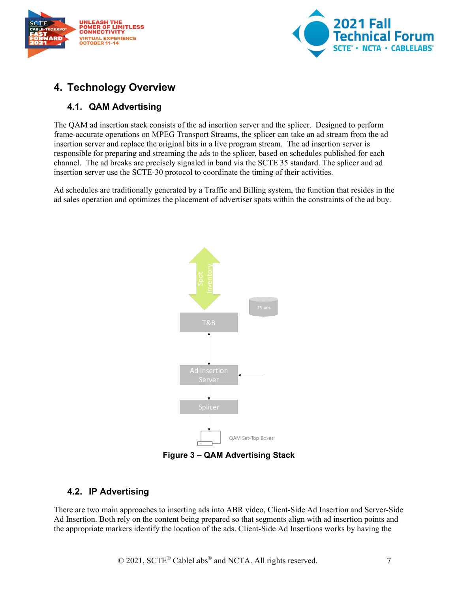



# <span id="page-6-0"></span>**4. Technology Overview**

## <span id="page-6-1"></span>**4.1. QAM Advertising**

The QAM ad insertion stack consists of the ad insertion server and the splicer. Designed to perform frame-accurate operations on MPEG Transport Streams, the splicer can take an ad stream from the ad insertion server and replace the original bits in a live program stream. The ad insertion server is responsible for preparing and streaming the ads to the splicer, based on schedules published for each channel. The ad breaks are precisely signaled in band via the SCTE 35 standard. The splicer and ad insertion server use the SCTE-30 protocol to coordinate the timing of their activities.

Ad schedules are traditionally generated by a Traffic and Billing system, the function that resides in the ad sales operation and optimizes the placement of advertiser spots within the constraints of the ad buy.



**Figure 3 – QAM Advertising Stack** 

#### <span id="page-6-3"></span><span id="page-6-2"></span>**4.2. IP Advertising**

There are two main approaches to inserting ads into ABR video, Client-Side Ad Insertion and Server-Side Ad Insertion. Both rely on the content being prepared so that segments align with ad insertion points and the appropriate markers identify the location of the ads. Client-Side Ad Insertions works by having the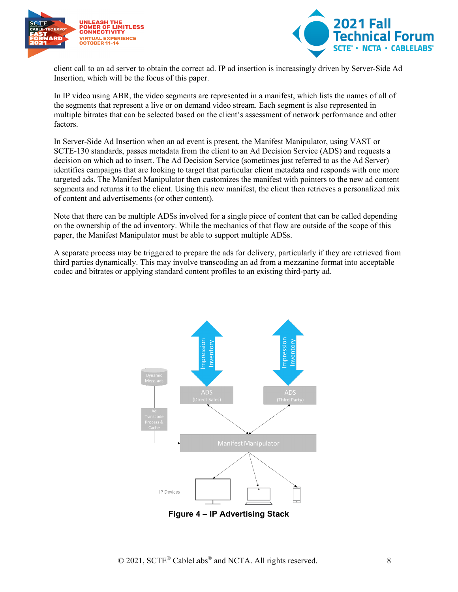



client call to an ad server to obtain the correct ad. IP ad insertion is increasingly driven by Server-Side Ad Insertion, which will be the focus of this paper.

In IP video using ABR, the video segments are represented in a manifest, which lists the names of all of the segments that represent a live or on demand video stream. Each segment is also represented in multiple bitrates that can be selected based on the client's assessment of network performance and other factors.

In Server-Side Ad Insertion when an ad event is present, the Manifest Manipulator, using VAST or SCTE-130 standards, passes metadata from the client to an Ad Decision Service (ADS) and requests a decision on which ad to insert. The Ad Decision Service (sometimes just referred to as the Ad Server) identifies campaigns that are looking to target that particular client metadata and responds with one more targeted ads. The Manifest Manipulator then customizes the manifest with pointers to the new ad content segments and returns it to the client. Using this new manifest, the client then retrieves a personalized mix of content and advertisements (or other content).

Note that there can be multiple ADSs involved for a single piece of content that can be called depending on the ownership of the ad inventory. While the mechanics of that flow are outside of the scope of this paper, the Manifest Manipulator must be able to support multiple ADSs.

A separate process may be triggered to prepare the ads for delivery, particularly if they are retrieved from third parties dynamically. This may involve transcoding an ad from a mezzanine format into acceptable codec and bitrates or applying standard content profiles to an existing third-party ad.

<span id="page-7-0"></span>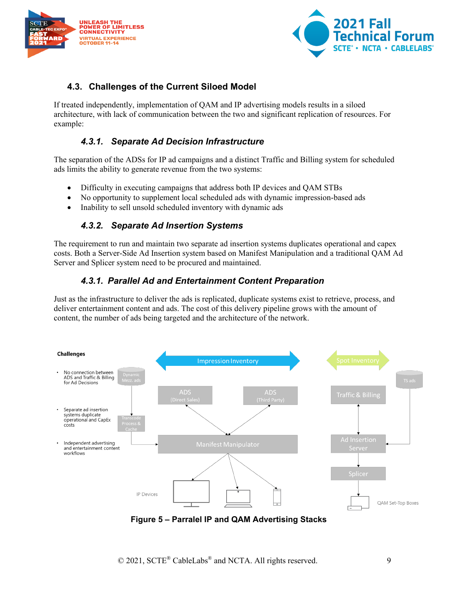



#### <span id="page-8-0"></span>**4.3. Challenges of the Current Siloed Model**

<span id="page-8-1"></span>If treated independently, implementation of QAM and IP advertising models results in a siloed architecture, with lack of communication between the two and significant replication of resources. For example:

#### *4.3.1. Separate Ad Decision Infrastructure*

The separation of the ADSs for IP ad campaigns and a distinct Traffic and Billing system for scheduled ads limits the ability to generate revenue from the two systems:

- Difficulty in executing campaigns that address both IP devices and QAM STBs
- No opportunity to supplement local scheduled ads with dynamic impression-based ads
- <span id="page-8-2"></span>• Inability to sell unsold scheduled inventory with dynamic ads

#### *4.3.2. Separate Ad Insertion Systems*

<span id="page-8-3"></span>The requirement to run and maintain two separate ad insertion systems duplicates operational and capex costs. Both a Server-Side Ad Insertion system based on Manifest Manipulation and a traditional QAM Ad Server and Splicer system need to be procured and maintained.

#### *4.3.1. Parallel Ad and Entertainment Content Preparation*

Just as the infrastructure to deliver the ads is replicated, duplicate systems exist to retrieve, process, and deliver entertainment content and ads. The cost of this delivery pipeline grows with the amount of content, the number of ads being targeted and the architecture of the network.



<span id="page-8-4"></span>**Figure 5 – Parralel IP and QAM Advertising Stacks**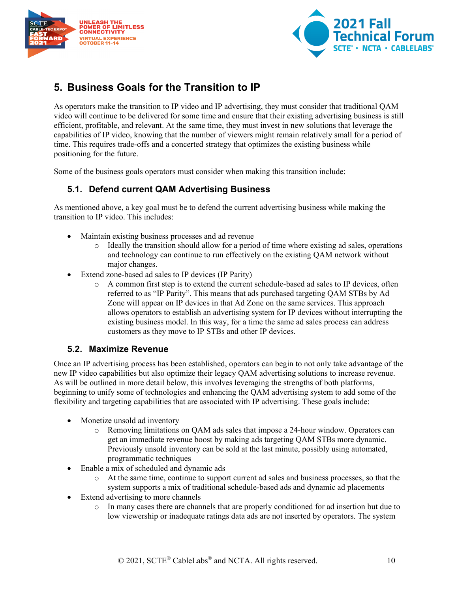



# <span id="page-9-0"></span>**5. Business Goals for the Transition to IP**

As operators make the transition to IP video and IP advertising, they must consider that traditional QAM video will continue to be delivered for some time and ensure that their existing advertising business is still efficient, profitable, and relevant. At the same time, they must invest in new solutions that leverage the capabilities of IP video, knowing that the number of viewers might remain relatively small for a period of time. This requires trade-offs and a concerted strategy that optimizes the existing business while positioning for the future.

<span id="page-9-1"></span>Some of the business goals operators must consider when making this transition include:

#### **5.1. Defend current QAM Advertising Business**

As mentioned above, a key goal must be to defend the current advertising business while making the transition to IP video. This includes:

- Maintain existing business processes and ad revenue
	- o Ideally the transition should allow for a period of time where existing ad sales, operations and technology can continue to run effectively on the existing QAM network without major changes.
- Extend zone-based ad sales to IP devices (IP Parity)
	- o A common first step is to extend the current schedule-based ad sales to IP devices, often referred to as "IP Parity". This means that ads purchased targeting QAM STBs by Ad Zone will appear on IP devices in that Ad Zone on the same services. This approach allows operators to establish an advertising system for IP devices without interrupting the existing business model. In this way, for a time the same ad sales process can address customers as they move to IP STBs and other IP devices.

#### <span id="page-9-2"></span>**5.2. Maximize Revenue**

Once an IP advertising process has been established, operators can begin to not only take advantage of the new IP video capabilities but also optimize their legacy QAM advertising solutions to increase revenue. As will be outlined in more detail below, this involves leveraging the strengths of both platforms, beginning to unify some of technologies and enhancing the QAM advertising system to add some of the flexibility and targeting capabilities that are associated with IP advertising. These goals include:

- Monetize unsold ad inventory
	- o Removing limitations on QAM ads sales that impose a 24-hour window. Operators can get an immediate revenue boost by making ads targeting QAM STBs more dynamic. Previously unsold inventory can be sold at the last minute, possibly using automated, programmatic techniques
- Enable a mix of scheduled and dynamic ads
	- o At the same time, continue to support current ad sales and business processes, so that the system supports a mix of traditional schedule-based ads and dynamic ad placements
- Extend advertising to more channels
	- o In many cases there are channels that are properly conditioned for ad insertion but due to low viewership or inadequate ratings data ads are not inserted by operators. The system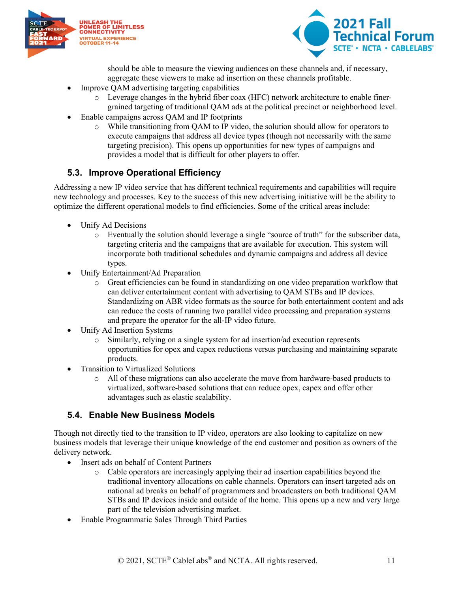



should be able to measure the viewing audiences on these channels and, if necessary, aggregate these viewers to make ad insertion on these channels profitable.

- Improve QAM advertising targeting capabilities
	- o Leverage changes in the hybrid fiber coax (HFC) network architecture to enable finergrained targeting of traditional QAM ads at the political precinct or neighborhood level.
- Enable campaigns across OAM and IP footprints
	- o While transitioning from QAM to IP video, the solution should allow for operators to execute campaigns that address all device types (though not necessarily with the same targeting precision). This opens up opportunities for new types of campaigns and provides a model that is difficult for other players to offer.

#### <span id="page-10-0"></span>**5.3. Improve Operational Efficiency**

Addressing a new IP video service that has different technical requirements and capabilities will require new technology and processes. Key to the success of this new advertising initiative will be the ability to optimize the different operational models to find efficiencies. Some of the critical areas include:

- Unify Ad Decisions
	- o Eventually the solution should leverage a single "source of truth" for the subscriber data, targeting criteria and the campaigns that are available for execution. This system will incorporate both traditional schedules and dynamic campaigns and address all device types.
- Unify Entertainment/Ad Preparation
	- o Great efficiencies can be found in standardizing on one video preparation workflow that can deliver entertainment content with advertising to QAM STBs and IP devices. Standardizing on ABR video formats as the source for both entertainment content and ads can reduce the costs of running two parallel video processing and preparation systems and prepare the operator for the all-IP video future.
- Unify Ad Insertion Systems
	- o Similarly, relying on a single system for ad insertion/ad execution represents opportunities for opex and capex reductions versus purchasing and maintaining separate products.
- Transition to Virtualized Solutions
	- o All of these migrations can also accelerate the move from hardware-based products to virtualized, software-based solutions that can reduce opex, capex and offer other advantages such as elastic scalability.

#### <span id="page-10-1"></span>**5.4. Enable New Business Models**

Though not directly tied to the transition to IP video, operators are also looking to capitalize on new business models that leverage their unique knowledge of the end customer and position as owners of the delivery network.

- Insert ads on behalf of Content Partners
	- o Cable operators are increasingly applying their ad insertion capabilities beyond the traditional inventory allocations on cable channels. Operators can insert targeted ads on national ad breaks on behalf of programmers and broadcasters on both traditional QAM STBs and IP devices inside and outside of the home. This opens up a new and very large part of the television advertising market.
- Enable Programmatic Sales Through Third Parties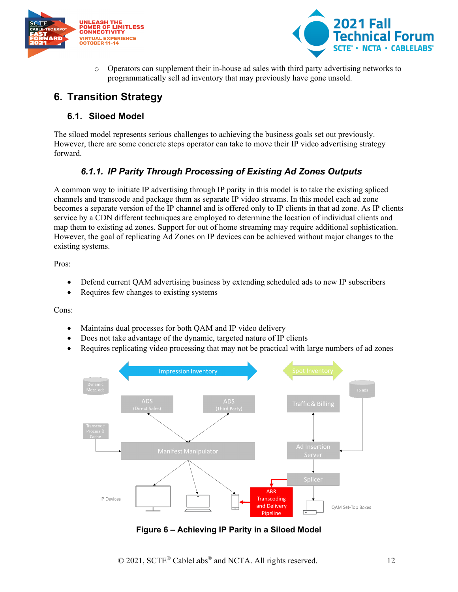



o Operators can supplement their in-house ad sales with third party advertising networks to programmatically sell ad inventory that may previously have gone unsold.

## <span id="page-11-0"></span>**6. Transition Strategy**

#### <span id="page-11-1"></span>**6.1. Siloed Model**

<span id="page-11-2"></span>The siloed model represents serious challenges to achieving the business goals set out previously. However, there are some concrete steps operator can take to move their IP video advertising strategy forward.

### *6.1.1. IP Parity Through Processing of Existing Ad Zones Outputs*

A common way to initiate IP advertising through IP parity in this model is to take the existing spliced channels and transcode and package them as separate IP video streams. In this model each ad zone becomes a separate version of the IP channel and is offered only to IP clients in that ad zone. As IP clients service by a CDN different techniques are employed to determine the location of individual clients and map them to existing ad zones. Support for out of home streaming may require additional sophistication. However, the goal of replicating Ad Zones on IP devices can be achieved without major changes to the existing systems.

Pros:

- Defend current QAM advertising business by extending scheduled ads to new IP subscribers
- Requires few changes to existing systems

Cons:

- Maintains dual processes for both QAM and IP video delivery
- Does not take advantage of the dynamic, targeted nature of IP clients
- Requires replicating video processing that may not be practical with large numbers of ad zones



<span id="page-11-3"></span>**Figure 6 – Achieving IP Parity in a Siloed Model**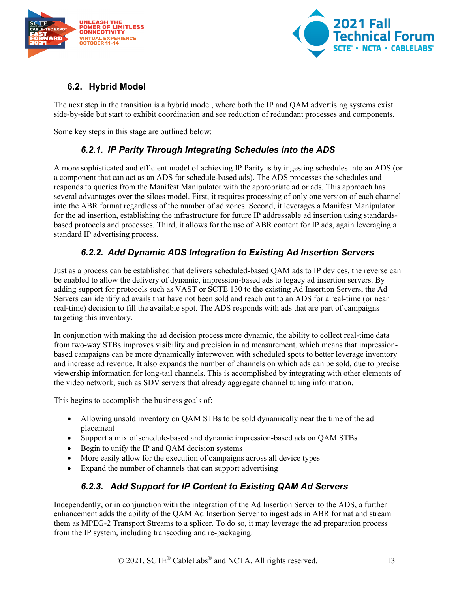



## <span id="page-12-0"></span>**6.2. Hybrid Model**

The next step in the transition is a hybrid model, where both the IP and QAM advertising systems exist side-by-side but start to exhibit coordination and see reduction of redundant processes and components.

<span id="page-12-1"></span>Some key steps in this stage are outlined below:

## *6.2.1. IP Parity Through Integrating Schedules into the ADS*

A more sophisticated and efficient model of achieving IP Parity is by ingesting schedules into an ADS (or a component that can act as an ADS for schedule-based ads). The ADS processes the schedules and responds to queries from the Manifest Manipulator with the appropriate ad or ads. This approach has several advantages over the siloes model. First, it requires processing of only one version of each channel into the ABR format regardless of the number of ad zones. Second, it leverages a Manifest Manipulator for the ad insertion, establishing the infrastructure for future IP addressable ad insertion using standardsbased protocols and processes. Third, it allows for the use of ABR content for IP ads, again leveraging a standard IP advertising process.

## *6.2.2. Add Dynamic ADS Integration to Existing Ad Insertion Servers*

<span id="page-12-2"></span>Just as a process can be established that delivers scheduled-based QAM ads to IP devices, the reverse can be enabled to allow the delivery of dynamic, impression-based ads to legacy ad insertion servers. By adding support for protocols such as VAST or SCTE 130 to the existing Ad Insertion Servers, the Ad Servers can identify ad avails that have not been sold and reach out to an ADS for a real-time (or near real-time) decision to fill the available spot. The ADS responds with ads that are part of campaigns targeting this inventory.

In conjunction with making the ad decision process more dynamic, the ability to collect real-time data from two-way STBs improves visibility and precision in ad measurement, which means that impressionbased campaigns can be more dynamically interwoven with scheduled spots to better leverage inventory and increase ad revenue. It also expands the number of channels on which ads can be sold, due to precise viewership information for long-tail channels. This is accomplished by integrating with other elements of the video network, such as SDV servers that already aggregate channel tuning information.

This begins to accomplish the business goals of:

- Allowing unsold inventory on QAM STBs to be sold dynamically near the time of the ad placement
- Support a mix of schedule-based and dynamic impression-based ads on QAM STBs
- Begin to unify the IP and QAM decision systems
- More easily allow for the execution of campaigns across all device types
- Expand the number of channels that can support advertising

#### <span id="page-12-3"></span>*6.2.3. Add Support for IP Content to Existing QAM Ad Servers*

Independently, or in conjunction with the integration of the Ad Insertion Server to the ADS, a further enhancement adds the ability of the QAM Ad Insertion Server to ingest ads in ABR format and stream them as MPEG-2 Transport Streams to a splicer. To do so, it may leverage the ad preparation process from the IP system, including transcoding and re-packaging.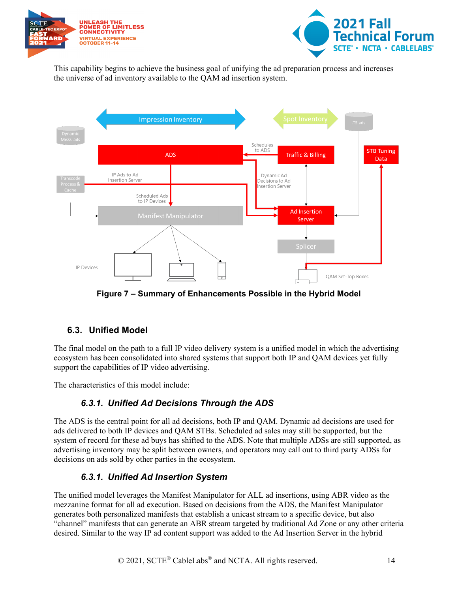



This capability begins to achieve the business goal of unifying the ad preparation process and increases the universe of ad inventory available to the QAM ad insertion system.



**Figure 7 – Summary of Enhancements Possible in the Hybrid Model**

#### <span id="page-13-3"></span><span id="page-13-0"></span>**6.3. Unified Model**

The final model on the path to a full IP video delivery system is a unified model in which the advertising ecosystem has been consolidated into shared systems that support both IP and QAM devices yet fully support the capabilities of IP video advertising.

<span id="page-13-1"></span>The characteristics of this model include:

## *6.3.1. Unified Ad Decisions Through the ADS*

The ADS is the central point for all ad decisions, both IP and QAM. Dynamic ad decisions are used for ads delivered to both IP devices and QAM STBs. Scheduled ad sales may still be supported, but the system of record for these ad buys has shifted to the ADS. Note that multiple ADSs are still supported, as advertising inventory may be split between owners, and operators may call out to third party ADSs for decisions on ads sold by other parties in the ecosystem.

#### *6.3.1. Unified Ad Insertion System*

<span id="page-13-2"></span>The unified model leverages the Manifest Manipulator for ALL ad insertions, using ABR video as the mezzanine format for all ad execution. Based on decisions from the ADS, the Manifest Manipulator generates both personalized manifests that establish a unicast stream to a specific device, but also "channel" manifests that can generate an ABR stream targeted by traditional Ad Zone or any other criteria desired. Similar to the way IP ad content support was added to the Ad Insertion Server in the hybrid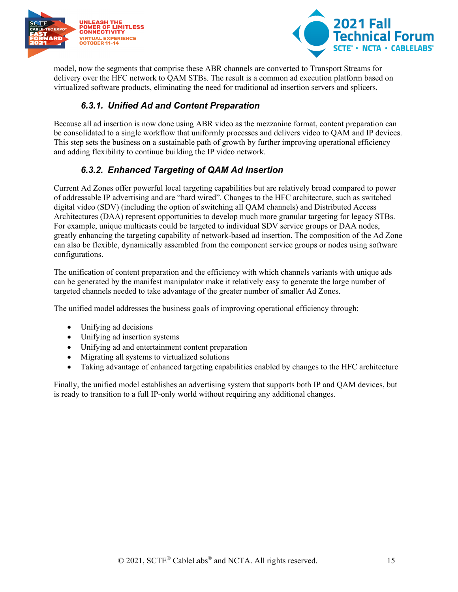



model, now the segments that comprise these ABR channels are converted to Transport Streams for delivery over the HFC network to QAM STBs. The result is a common ad execution platform based on virtualized software products, eliminating the need for traditional ad insertion servers and splicers.

### *6.3.1. Unified Ad and Content Preparation*

<span id="page-14-0"></span>Because all ad insertion is now done using ABR video as the mezzanine format, content preparation can be consolidated to a single workflow that uniformly processes and delivers video to QAM and IP devices. This step sets the business on a sustainable path of growth by further improving operational efficiency and adding flexibility to continue building the IP video network.

## *6.3.2. Enhanced Targeting of QAM Ad Insertion*

<span id="page-14-1"></span>Current Ad Zones offer powerful local targeting capabilities but are relatively broad compared to power of addressable IP advertising and are "hard wired". Changes to the HFC architecture, such as switched digital video (SDV) (including the option of switching all QAM channels) and Distributed Access Architectures (DAA) represent opportunities to develop much more granular targeting for legacy STBs. For example, unique multicasts could be targeted to individual SDV service groups or DAA nodes, greatly enhancing the targeting capability of network-based ad insertion. The composition of the Ad Zone can also be flexible, dynamically assembled from the component service groups or nodes using software configurations.

The unification of content preparation and the efficiency with which channels variants with unique ads can be generated by the manifest manipulator make it relatively easy to generate the large number of targeted channels needed to take advantage of the greater number of smaller Ad Zones.

The unified model addresses the business goals of improving operational efficiency through:

- Unifying ad decisions
- Unifying ad insertion systems
- Unifying ad and entertainment content preparation
- Migrating all systems to virtualized solutions
- Taking advantage of enhanced targeting capabilities enabled by changes to the HFC architecture

Finally, the unified model establishes an advertising system that supports both IP and QAM devices, but is ready to transition to a full IP-only world without requiring any additional changes.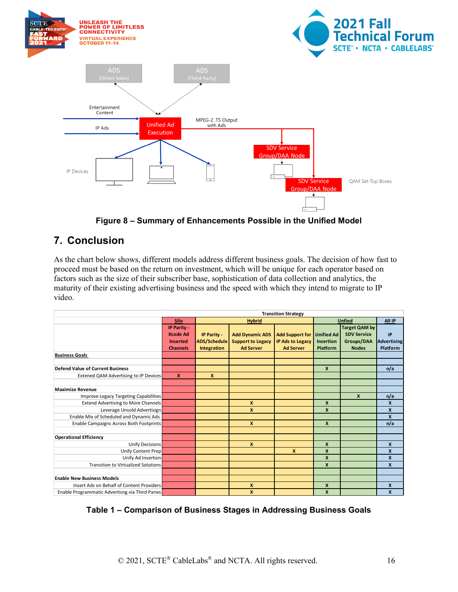



## <span id="page-15-1"></span><span id="page-15-0"></span>**7. Conclusion**

As the chart below shows, different models address different business goals. The decision of how fast to proceed must be based on the return on investment, which will be unique for each operator based on factors such as the size of their subscriber base, sophistication of data collection and analytics, the maturity of their existing advertising business and the speed with which they intend to migrate to IP video.

|                                                 | <b>Transition Strategy</b>                    |              |                          |                         |                   |                    |                  |
|-------------------------------------------------|-----------------------------------------------|--------------|--------------------------|-------------------------|-------------------|--------------------|------------------|
|                                                 | <b>Unfied</b><br><b>Hybrid</b><br><b>Silo</b> |              |                          | All IP                  |                   |                    |                  |
|                                                 | IP Parity -                                   |              |                          |                         |                   | Target QAM by      |                  |
|                                                 | <b>Xcode Ad</b>                               | IP Parity -  | <b>Add Dynamic ADS</b>   | <b>Add Support for</b>  | <b>Unified Ad</b> | <b>SDV Service</b> | IP               |
|                                                 | <b>Inserted</b>                               | ADS/Schedule | <b>Support to Legacy</b> | <b>IP Ads to Legacy</b> | <b>Insertion</b>  | Groups/DAA         | Advertising      |
|                                                 | <b>Channels</b>                               | Integration  | <b>Ad Server</b>         | <b>Ad Server</b>        | <b>Platform</b>   | <b>Nodes</b>       | Platform         |
| <b>Business Goals</b>                           |                                               |              |                          |                         |                   |                    |                  |
|                                                 |                                               |              |                          |                         |                   |                    |                  |
| <b>Defend Value of Current Business</b>         |                                               |              |                          |                         | $\boldsymbol{x}$  |                    | n/a              |
| Extened QAM Advertising to IP Devices           | $\mathbf{x}$                                  | $\mathbf{x}$ |                          |                         |                   |                    |                  |
|                                                 |                                               |              |                          |                         |                   |                    |                  |
| <b>Maximize Revenue</b>                         |                                               |              |                          |                         |                   |                    |                  |
| Improve Legacy Targeting Capabilities           |                                               |              |                          |                         |                   | $\mathbf{x}$       | n/a              |
| <b>Extend Advertising to More Channels</b>      |                                               |              | $\mathbf{x}$             |                         | X                 |                    | $\boldsymbol{x}$ |
| Leverage Unsold Advertisign                     |                                               |              | $\boldsymbol{x}$         |                         | $\boldsymbol{x}$  |                    | X                |
| Enable Mix of Scheduled and Dynamic Ads         |                                               |              |                          |                         |                   |                    | $\boldsymbol{x}$ |
| Enable Campaigns Across Both Footprints         |                                               |              | X                        |                         | $\boldsymbol{x}$  |                    | n/a              |
|                                                 |                                               |              |                          |                         |                   |                    |                  |
| <b>Operational Efficiency</b>                   |                                               |              |                          |                         |                   |                    |                  |
| <b>Unify Decisions</b>                          |                                               |              | $\boldsymbol{x}$         |                         | $\boldsymbol{x}$  |                    | $\boldsymbol{x}$ |
| Unify Content Prep                              |                                               |              |                          | X                       | X                 |                    | $\boldsymbol{x}$ |
| Unify Ad Insertion                              |                                               |              |                          |                         | X                 |                    | X                |
| <b>Transition to Virtualized Solutions</b>      |                                               |              |                          |                         | $\boldsymbol{x}$  |                    | $\mathbf{x}$     |
|                                                 |                                               |              |                          |                         |                   |                    |                  |
| <b>Enable New Business Models</b>               |                                               |              |                          |                         |                   |                    |                  |
| Insert Ads on Behalf of Content Providers       |                                               |              | X                        |                         | X                 |                    | $\mathbf{x}$     |
| Enable Programmatic Advertisng via Third Paries |                                               |              | X                        |                         | $\boldsymbol{x}$  |                    | $\boldsymbol{x}$ |

<span id="page-15-2"></span>**Table 1 – Comparison of Business Stages in Addressing Business Goals**